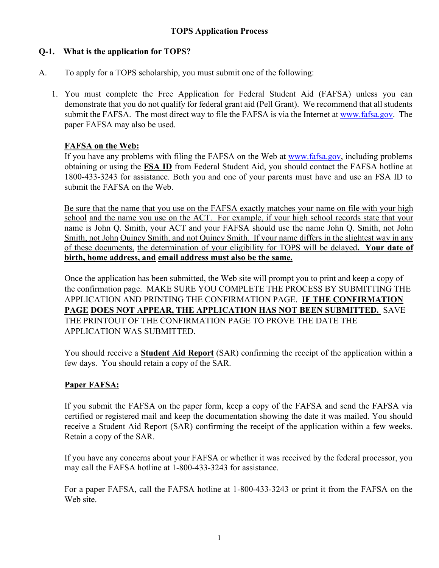# **Q-1. What is the application for TOPS?**

- A. To apply for a TOPS scholarship, you must submit one of the following:
	- 1. You must complete the Free Application for Federal Student Aid (FAFSA) unless you can demonstrate that you do not qualify for federal grant aid (Pell Grant). We recommend that all students submit the FAFSA. The most direct way to file the FAFSA is via the Internet at [www.fafsa.gov.](http://www.fafsa.gov/) The paper FAFSA may also be used.

## **FAFSA on the Web:**

 If you have any problems with filing the FAFSA on the Web at [www.fafsa.gov,](http://www.fafsa.gov/) including problems obtaining or using the **FSA ID** from Federal Student Aid, you should contact the FAFSA hotline at 1800-433-3243 for assistance. Both you and one of your parents must have and use an FSA ID to submit the FAFSA on the Web.

Be sure that the name that you use on the FAFSA exactly matches your name on file with your high school and the name you use on the ACT. For example, if your high school records state that your name is John Q. Smith, your ACT and your FAFSA should use the name John Q. Smith, not John Smith, not John Quincy Smith, and not Quincy Smith. If your name differs in the slightest way in any of these documents, the determination of your eligibility for TOPS will be delayed**. Your date of birth, home address, and email address must also be the same.**

Once the application has been submitted, the Web site will prompt you to print and keep a copy of the confirmation page. MAKE SURE YOU COMPLETE THE PROCESS BY SUBMITTING THE APPLICATION AND PRINTING THE CONFIRMATION PAGE. **IF THE CONFIRMATION PAGE DOES NOT APPEAR, THE APPLICATION HAS NOT BEEN SUBMITTED.** SAVE THE PRINTOUT OF THE CONFIRMATION PAGE TO PROVE THE DATE THE APPLICATION WAS SUBMITTED.

 You should receive a **Student Aid Report** (SAR) confirming the receipt of the application within a few days. You should retain a copy of the SAR.

# **Paper FAFSA:**

If you submit the FAFSA on the paper form, keep a copy of the FAFSA and send the FAFSA via certified or registered mail and keep the documentation showing the date it was mailed. You should receive a Student Aid Report (SAR) confirming the receipt of the application within a few weeks. Retain a copy of the SAR.

If you have any concerns about your FAFSA or whether it was received by the federal processor, you may call the FAFSA hotline at 1-800-433-3243 for assistance.

 For a paper FAFSA, call the FAFSA hotline at 1-800-433-3243 or print it from the FAFSA on the Web site.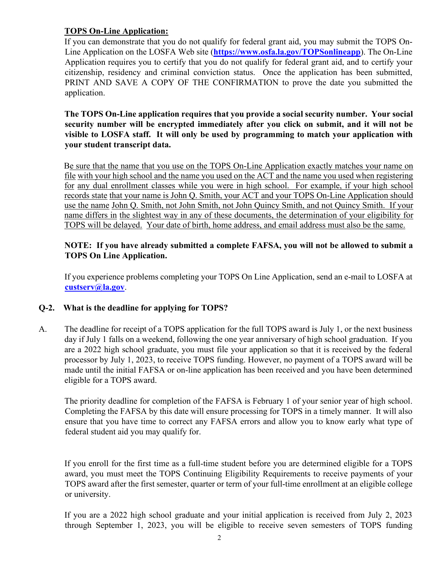## **TOPS On-Line Application:**

If you can demonstrate that you do not qualify for federal grant aid, you may submit the TOPS On-Line Application on the LOSFA Web site [\(](https://www.osfa.la.gov/TOPSonlineapp)**<https://www.osfa.la.gov/TOPSonlineapp>**[\).](https://www.osfa.la.gov/TOPSonlineapp) The On-Line Application requires you to certify that you do not qualify for federal grant aid, and to certify your citizenship, residency and criminal conviction status. Once the application has been submitted, PRINT AND SAVE A COPY OF THE CONFIRMATION to prove the date you submitted the application.

**The TOPS On-Line application requires that you provide a social security number. Your social security number will be encrypted immediately after you click on submit, and it will not be visible to LOSFA staff. It will only be used by programming to match your application with your student transcript data.** 

Be sure that the name that you use on the TOPS On-Line Application exactly matches your name on file with your high school and the name you used on the ACT and the name you used when registering for any dual enrollment classes while you were in high school. For example, if your high school records state that your name is John Q. Smith, your ACT and your TOPS On-Line Application should use the name John Q. Smith, not John Smith, not John Quincy Smith, and not Quincy Smith. If your name differs in the slightest way in any of these documents, the determination of your eligibility for TOPS will be delayed. Your date of birth, home address, and email address must also be the same.

## **NOTE: If you have already submitted a complete FAFSA, you will not be allowed to submit a TOPS On Line Application.**

If you experience problems completing your TOPS On Line Application, send an e-mail to LOSFA at **custserv@la.gov**.

### **Q-2. What is the deadline for applying for TOPS?**

A. The deadline for receipt of a TOPS application for the full TOPS award is July 1, or the next business day if July 1 falls on a weekend, following the one year anniversary of high school graduation. If you are a 2022 high school graduate, you must file your application so that it is received by the federal processor by July 1, 2023, to receive TOPS funding. However, no payment of a TOPS award will be made until the initial FAFSA or on-line application has been received and you have been determined eligible for a TOPS award.

The priority deadline for completion of the FAFSA is February 1 of your senior year of high school. Completing the FAFSA by this date will ensure processing for TOPS in a timely manner. It will also ensure that you have time to correct any FAFSA errors and allow you to know early what type of federal student aid you may qualify for.

If you enroll for the first time as a full-time student before you are determined eligible for a TOPS award, you must meet the TOPS Continuing Eligibility Requirements to receive payments of your TOPS award after the first semester, quarter or term of your full-time enrollment at an eligible college or university.

If you are a 2022 high school graduate and your initial application is received from July 2, 2023 through September 1, 2023, you will be eligible to receive seven semesters of TOPS funding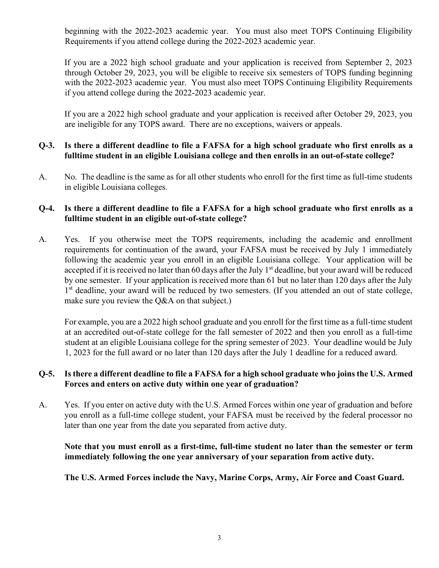beginning with the 2022-2023 academic year. You must also meet TOPS Continuing Eligibility Requirements if you attend college during the 2022-2023 academic year.

If you are a 2022 high school graduate and your application is received from September 2, 2023 through October 29, 2023, you will be eligible to receive six semesters of TOPS funding beginning with the 2022-2023 academic year. You must also meet TOPS Continuing Eligibility Requirements if you attend college during the 2022-2023 academic year.

If you are a 2022 high school graduate and your application is received after October 29, 2023, you are ineligible for any TOPS award. There are no exceptions, waivers or appeals.

### **Q-3. Is there a different deadline to file a FAFSA for a high school graduate who first enrolls as a fulltime student in an eligible Louisiana college and then enrolls in an out-of-state college?**

A. No. The deadline is the same as for all other students who enroll for the first time as full-time students in eligible Louisiana colleges.

### **Q-4. Is there a different deadline to file a FAFSA for a high school graduate who first enrolls as a fulltime student in an eligible out-of-state college?**

A. Yes. If you otherwise meet the TOPS requirements, including the academic and enrollment requirements for continuation of the award, your FAFSA must be received by July 1 immediately following the academic year you enroll in an eligible Louisiana college. Your application will be accepted if it is received no later than 60 days after the July 1<sup>st</sup> deadline, but your award will be reduced by one semester. If your application is received more than 61 but no later than 120 days after the July 1<sup>st</sup> deadline, your award will be reduced by two semesters. (If you attended an out of state college, make sure you review the Q&A on that subject.)

For example, you are a 2022 high school graduate and you enroll for the first time as a full-time student at an accredited out-of-state college for the fall semester of 2022 and then you enroll as a full-time student at an eligible Louisiana college for the spring semester of 2023. Your deadline would be July 1, 2023 for the full award or no later than 120 days after the July 1 deadline for a reduced award.

#### **Q-5. Is there a different deadline to file a FAFSA for a high school graduate who joins the U.S. Armed Forces and enters on active duty within one year of graduation?**

A. Yes. If you enter on active duty with the U.S. Armed Forces within one year of graduation and before you enroll as a full-time college student, your FAFSA must be received by the federal processor no later than one year from the date you separated from active duty.

**Note that you must enroll as a first-time, full-time student no later than the semester or term immediately following the one year anniversary of your separation from active duty.** 

### **The U.S. Armed Forces include the Navy, Marine Corps, Army, Air Force and Coast Guard.**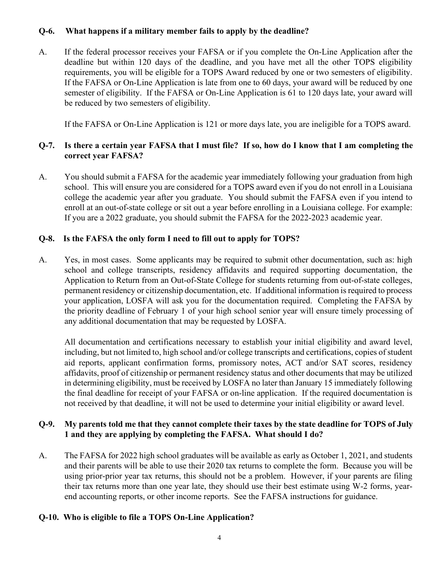# **Q-6. What happens if a military member fails to apply by the deadline?**

A. If the federal processor receives your FAFSA or if you complete the On-Line Application after the deadline but within 120 days of the deadline, and you have met all the other TOPS eligibility requirements, you will be eligible for a TOPS Award reduced by one or two semesters of eligibility. If the FAFSA or On-Line Application is late from one to 60 days, your award will be reduced by one semester of eligibility. If the FAFSA or On-Line Application is 61 to 120 days late, your award will be reduced by two semesters of eligibility.

If the FAFSA or On-Line Application is 121 or more days late, you are ineligible for a TOPS award.

## **Q-7. Is there a certain year FAFSA that I must file? If so, how do I know that I am completing the correct year FAFSA?**

A. You should submit a FAFSA for the academic year immediately following your graduation from high school. This will ensure you are considered for a TOPS award even if you do not enroll in a Louisiana college the academic year after you graduate. You should submit the FAFSA even if you intend to enroll at an out-of-state college or sit out a year before enrolling in a Louisiana college. For example: If you are a 2022 graduate, you should submit the FAFSA for the 2022-2023 academic year.

## **Q-8. Is the FAFSA the only form I need to fill out to apply for TOPS?**

A. Yes, in most cases. Some applicants may be required to submit other documentation, such as: high school and college transcripts, residency affidavits and required supporting documentation, the Application to Return from an Out-of-State College for students returning from out-of-state colleges, permanent residency or citizenship documentation, etc. If additional information is required to process your application, LOSFA will ask you for the documentation required. Completing the FAFSA by the priority deadline of February 1 of your high school senior year will ensure timely processing of any additional documentation that may be requested by LOSFA.

All documentation and certifications necessary to establish your initial eligibility and award level, including, but not limited to, high school and/or college transcripts and certifications, copies of student aid reports, applicant confirmation forms, promissory notes, ACT and/or SAT scores, residency affidavits, proof of citizenship or permanent residency status and other documents that may be utilized in determining eligibility, must be received by LOSFA no later than January 15 immediately following the final deadline for receipt of your FAFSA or on-line application. If the required documentation is not received by that deadline, it will not be used to determine your initial eligibility or award level.

## **Q-9. My parents told me that they cannot complete their taxes by the state deadline for TOPS of July 1 and they are applying by completing the FAFSA. What should I do?**

A. The FAFSA for 2022 high school graduates will be available as early as October 1, 2021, and students and their parents will be able to use their 2020 tax returns to complete the form. Because you will be using prior-prior year tax returns, this should not be a problem. However, if your parents are filing their tax returns more than one year late, they should use their best estimate using W-2 forms, yearend accounting reports, or other income reports. See the FAFSA instructions for guidance.

# **Q-10. Who is eligible to file a TOPS On-Line Application?**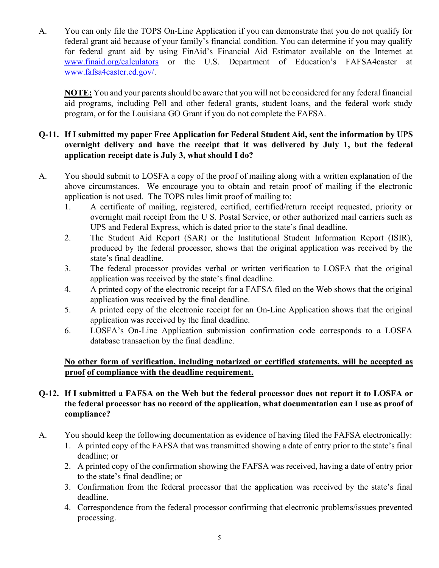A. You can only file the TOPS On-Line Application if you can demonstrate that you do not qualify for federal grant aid because of your family's financial condition. You can determine if you may qualify for federal grant aid by using FinAid's Financial Aid Estimator available on the Internet at [www.finaid.org/calculators](http://www.finaid.org/calculators) [o](http://www.finaid.org/calculators)r the U.S. Department of Education's FAFSA4caster at [www.fafsa4caster.ed.gov/.](http://www.fafsa4caster.ed.gov/) 

 **NOTE:** You and your parents should be aware that you will not be considered for any federal financial aid programs, including Pell and other federal grants, student loans, and the federal work study program, or for the Louisiana GO Grant if you do not complete the FAFSA.

## **Q-11. If I submitted my paper Free Application for Federal Student Aid, sent the information by UPS overnight delivery and have the receipt that it was delivered by July 1, but the federal application receipt date is July 3, what should I do?**

- A. You should submit to LOSFA a copy of the proof of mailing along with a written explanation of the above circumstances. We encourage you to obtain and retain proof of mailing if the electronic application is not used. The TOPS rules limit proof of mailing to:
	- 1. A certificate of mailing, registered, certified, certified/return receipt requested, priority or overnight mail receipt from the U S. Postal Service, or other authorized mail carriers such as UPS and Federal Express, which is dated prior to the state's final deadline.
	- 2. The Student Aid Report (SAR) or the Institutional Student Information Report (ISIR), produced by the federal processor, shows that the original application was received by the state's final deadline.
	- 3. The federal processor provides verbal or written verification to LOSFA that the original application was received by the state's final deadline.
	- 4. A printed copy of the electronic receipt for a FAFSA filed on the Web shows that the original application was received by the final deadline.
	- 5. A printed copy of the electronic receipt for an On-Line Application shows that the original application was received by the final deadline.
	- 6. LOSFA's On-Line Application submission confirmation code corresponds to a LOSFA database transaction by the final deadline.

# **No other form of verification, including notarized or certified statements, will be accepted as proof of compliance with the deadline requirement.**

# **Q-12. If I submitted a FAFSA on the Web but the federal processor does not report it to LOSFA or the federal processor has no record of the application, what documentation can I use as proof of compliance?**

- A. You should keep the following documentation as evidence of having filed the FAFSA electronically:
	- 1. A printed copy of the FAFSA that was transmitted showing a date of entry prior to the state's final deadline; or
	- 2. A printed copy of the confirmation showing the FAFSA was received, having a date of entry prior to the state's final deadline; or
	- 3. Confirmation from the federal processor that the application was received by the state's final deadline.
	- 4. Correspondence from the federal processor confirming that electronic problems/issues prevented processing.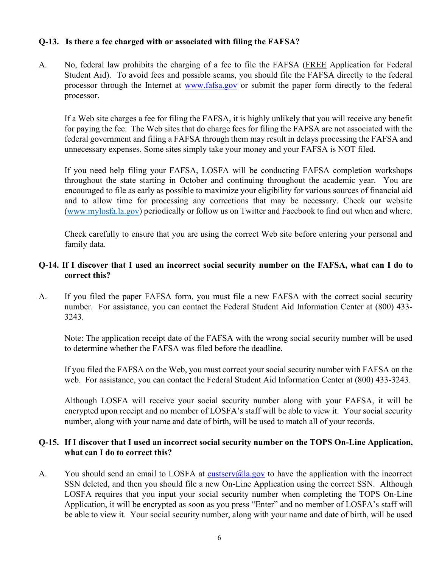#### **Q-13. Is there a fee charged with or associated with filing the FAFSA?**

A. No, federal law prohibits the charging of a fee to file the FAFSA (FREE Application for Federal Student Aid). To avoid fees and possible scams, you should file the FAFSA directly to the federal processor through the Internet at [www.fafsa.gov](http://www.fafsa.gov/) [o](http://www.fafsa.gov/)r submit the paper form directly to the federal processor.

If a Web site charges a fee for filing the FAFSA, it is highly unlikely that you will receive any benefit for paying the fee. The Web sites that do charge fees for filing the FAFSA are not associated with the federal government and filing a FAFSA through them may result in delays processing the FAFSA and unnecessary expenses. Some sites simply take your money and your FAFSA is NOT filed.

 If you need help filing your FAFSA, LOSFA will be conducting FAFSA completion workshops throughout the state starting in October and continuing throughout the academic year. You are encouraged to file as early as possible to maximize your eligibility for various sources of financial aid and to allow time for processing any corrections that may be necessary. Check our website [\(www.mylosfa.la.gov\)](http://www.mylosfa.la.gov/) periodically or follow us on Twitter and Facebook to find out when and where.

Check carefully to ensure that you are using the correct Web site before entering your personal and family data.

#### **Q-14. If I discover that I used an incorrect social security number on the FAFSA, what can I do to correct this?**

A. If you filed the paper FAFSA form, you must file a new FAFSA with the correct social security number. For assistance, you can contact the Federal Student Aid Information Center at (800) 433- 3243.

 Note: The application receipt date of the FAFSA with the wrong social security number will be used to determine whether the FAFSA was filed before the deadline.

 If you filed the FAFSA on the Web, you must correct your social security number with FAFSA on the web. For assistance, you can contact the Federal Student Aid Information Center at (800) 433-3243.

 Although LOSFA will receive your social security number along with your FAFSA, it will be encrypted upon receipt and no member of LOSFA's staff will be able to view it. Your social security number, along with your name and date of birth, will be used to match all of your records.

#### **Q-15. If I discover that I used an incorrect social security number on the TOPS On-Line Application, what can I do to correct this?**

A. You should send an email to LOSFA at custserv@la.gov to have the application with the incorrect SSN deleted, and then you should file a new On-Line Application using the correct SSN. Although LOSFA requires that you input your social security number when completing the TOPS On-Line Application, it will be encrypted as soon as you press "Enter" and no member of LOSFA's staff will be able to view it. Your social security number, along with your name and date of birth, will be used